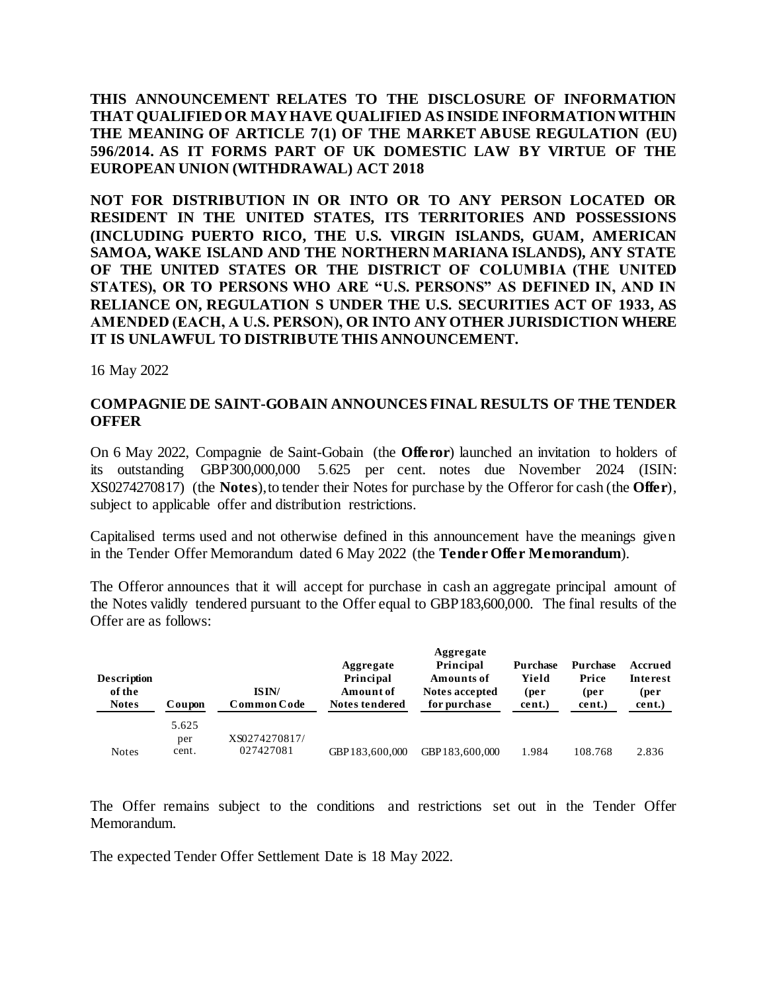**THIS ANNOUNCEMENT RELATES TO THE DISCLOSURE OF INFORMATION THAT QUALIFIED OR MAY HAVE QUALIFIED AS INSIDE INFORMATION WITHIN THE MEANING OF ARTICLE 7(1) OF THE MARKET ABUSE REGULATION (EU) 596/2014. AS IT FORMS PART OF UK DOMESTIC LAW BY VIRTUE OF THE EUROPEAN UNION (WITHDRAWAL) ACT 2018** 

**NOT FOR DISTRIBUTION IN OR INTO OR TO ANY PERSON LOCATED OR RESIDENT IN THE UNITED STATES, ITS TERRITORIES AND POSSESSIONS (INCLUDING PUERTO RICO, THE U.S. VIRGIN ISLANDS, GUAM, AMERICAN SAMOA, WAKE ISLAND AND THE NORTHERN MARIANA ISLANDS), ANY STATE OF THE UNITED STATES OR THE DISTRICT OF COLUMBIA (THE UNITED STATES), OR TO PERSONS WHO ARE "U.S. PERSONS" AS DEFINED IN, AND IN RELIANCE ON, REGULATION S UNDER THE U.S. SECURITIES ACT OF 1933, AS AMENDED (EACH, A U.S. PERSON), OR INTO ANYOTHER JURISDICTION WHERE IT IS UNLAWFUL TO DISTRIBUTE THIS ANNOUNCEMENT.**

16 May 2022

## **COMPAGNIE DE SAINT-GOBAIN ANNOUNCES FINAL RESULTS OF THE TENDER OFFER**

On 6 May 2022, Compagnie de Saint-Gobain (the **Offeror**) launched an invitation to holders of its outstanding GBP300,000,000 5.625 per cent. notes due November 2024 (ISIN: XS0274270817) (the **Notes**), to tender their Notes for purchase by the Offeror for cash (the **Offer**), subject to applicable offer and distribution restrictions.

Capitalised terms used and not otherwise defined in this announcement have the meanings given in the Tender Offer Memorandum dated 6 May 2022 (the **Tender Offer Memorandum**).

The Offeror announces that it will accept for purchase in cash an aggregate principal amount of the Notes validly tendered pursuant to the Offer equal to GBP183,600,000. The final results of the Offer are as follows:

| <b>Description</b><br>of the<br><b>Notes</b> | Coupon                | ISIN/<br>Common Code       | Aggregate<br>Principal<br>Amount of<br>Notes tendered | Aggregate<br>Principal<br><b>Amounts of</b><br><b>Notes accepted</b><br>for purchase | Purchase<br>Yield<br>(per<br>cent.) | <b>Purchase</b><br>Price<br>(per<br>cent.) | Accrued<br>Interest<br>(per<br>cent.) |
|----------------------------------------------|-----------------------|----------------------------|-------------------------------------------------------|--------------------------------------------------------------------------------------|-------------------------------------|--------------------------------------------|---------------------------------------|
| <b>Notes</b>                                 | 5.625<br>per<br>cent. | XS0274270817/<br>027427081 | GBP183.600.000                                        | GBP183,600,000                                                                       | 1.984                               | 108.768                                    | 2.836                                 |

The Offer remains subject to the conditions and restrictions set out in the Tender Offer Memorandum.

The expected Tender Offer Settlement Date is 18 May 2022.